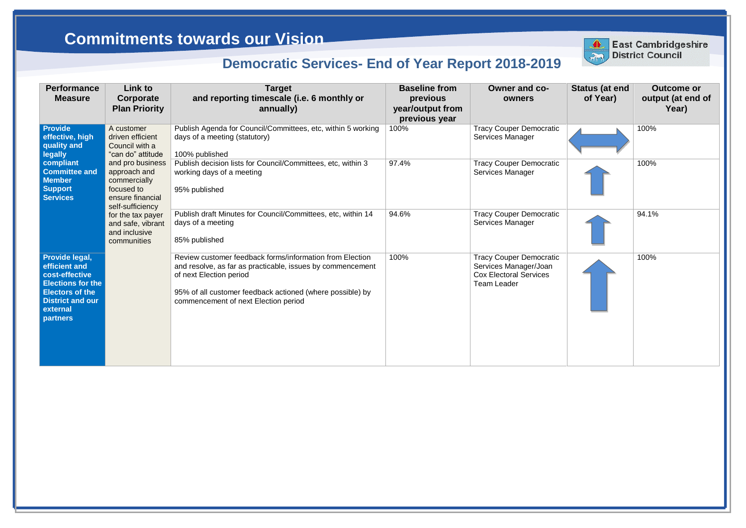| <b>Performance</b><br><b>Measure</b>                                                                                                                              | Link to<br>Corporate<br><b>Plan Priority</b>                                                           | <b>Target</b><br>and reporting timescale (i.e. 6 monthly or<br>annually)                                                                                                                                                                               | <b>Baseline from</b><br>previous<br>year/output from<br>previous year | <b>Owner and co-</b><br>owners                                                                                 |
|-------------------------------------------------------------------------------------------------------------------------------------------------------------------|--------------------------------------------------------------------------------------------------------|--------------------------------------------------------------------------------------------------------------------------------------------------------------------------------------------------------------------------------------------------------|-----------------------------------------------------------------------|----------------------------------------------------------------------------------------------------------------|
| <b>Provide</b><br>effective, high<br>quality and<br>legally                                                                                                       | A customer<br>driven efficient<br>Council with a<br>"can do" attitude                                  | Publish Agenda for Council/Committees, etc, within 5 working<br>days of a meeting (statutory)<br>100% published                                                                                                                                        | 100%                                                                  | <b>Tracy Couper Democratic</b><br>Services Manager                                                             |
| compliant<br><b>Committee and</b><br><b>Member</b><br><b>Support</b><br><b>Services</b>                                                                           | and pro business<br>approach and<br>commercially<br>focused to<br>ensure financial<br>self-sufficiency | Publish decision lists for Council/Committees, etc, within 3<br>working days of a meeting<br>95% published                                                                                                                                             | 97.4%                                                                 | <b>Tracy Couper Democratic</b><br>Services Manager                                                             |
|                                                                                                                                                                   | for the tax payer<br>and safe, vibrant<br>and inclusive<br>communities                                 | Publish draft Minutes for Council/Committees, etc, within 14<br>days of a meeting<br>85% published                                                                                                                                                     | 94.6%                                                                 | <b>Tracy Couper Democratic</b><br>Services Manager                                                             |
| Provide legal,<br>efficient and<br>cost-effective<br><b>Elections for the</b><br><b>Electors of the</b><br><b>District and our</b><br>external<br><b>partners</b> |                                                                                                        | Review customer feedback forms/information from Election<br>and resolve, as far as practicable, issues by commencement<br>of next Election period<br>95% of all customer feedback actioned (where possible) by<br>commencement of next Election period | 100%                                                                  | <b>Tracy Couper Democratic</b><br>Services Manager/Joan<br><b>Cox Electoral Services</b><br><b>Team Leader</b> |



| <b>Status (at end</b><br>of Year) | <b>Outcome or</b><br>output (at end of<br>Year) |
|-----------------------------------|-------------------------------------------------|
|                                   | 100%                                            |
|                                   | 100%                                            |
|                                   | 94.1%                                           |
|                                   | 100%                                            |

## **Commitments towards our Vision**

## **Democratic Services- End of Year Report 2018-2019**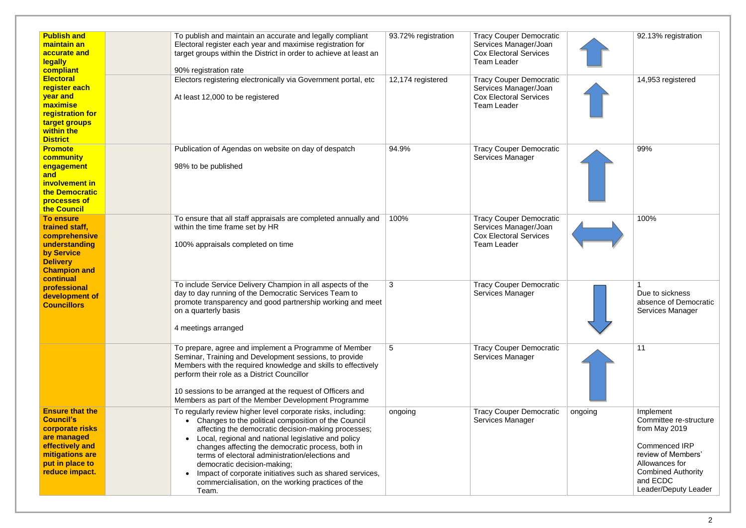| <b>Publish and</b><br>maintain an<br>accurate and<br><b>legally</b><br>compliant                                                                        | To publish and maintain an accurate and legally compliant<br>Electoral register each year and maximise registration for<br>target groups within the District in order to achieve at least an<br>90% registration rate                                                                                                                                                                                                                                                                                            | 93.72% registration | <b>Tracy Couper Democratic</b><br>Services Manager/Joan<br><b>Cox Electoral Services</b><br><b>Team Leader</b> |
|---------------------------------------------------------------------------------------------------------------------------------------------------------|------------------------------------------------------------------------------------------------------------------------------------------------------------------------------------------------------------------------------------------------------------------------------------------------------------------------------------------------------------------------------------------------------------------------------------------------------------------------------------------------------------------|---------------------|----------------------------------------------------------------------------------------------------------------|
| <b>Electoral</b><br>register each<br>year and<br>maximise<br>registration for<br>target groups<br>within the<br><b>District</b>                         | Electors registering electronically via Government portal, etc<br>At least 12,000 to be registered                                                                                                                                                                                                                                                                                                                                                                                                               | 12,174 registered   | <b>Tracy Couper Democratic</b><br>Services Manager/Joan<br><b>Cox Electoral Services</b><br><b>Team Leader</b> |
| <b>Promote</b><br>community<br>engagement<br>and<br>involvement in<br>the Democratic<br>processes of<br>the Council                                     | Publication of Agendas on website on day of despatch<br>98% to be published                                                                                                                                                                                                                                                                                                                                                                                                                                      | 94.9%               | <b>Tracy Couper Democratic</b><br>Services Manager                                                             |
| <b>To ensure</b><br>trained staff,<br>comprehensive<br>understanding<br>by Service<br><b>Delivery</b><br><b>Champion and</b><br>continual               | To ensure that all staff appraisals are completed annually and<br>within the time frame set by HR<br>100% appraisals completed on time                                                                                                                                                                                                                                                                                                                                                                           | 100%                | <b>Tracy Couper Democratic</b><br>Services Manager/Joan<br><b>Cox Electoral Services</b><br><b>Team Leader</b> |
| professional<br>development of<br><b>Councillors</b>                                                                                                    | To include Service Delivery Champion in all aspects of the<br>day to day running of the Democratic Services Team to<br>promote transparency and good partnership working and meet<br>on a quarterly basis<br>4 meetings arranged                                                                                                                                                                                                                                                                                 | 3                   | <b>Tracy Couper Democratic</b><br>Services Manager                                                             |
|                                                                                                                                                         | To prepare, agree and implement a Programme of Member<br>Seminar, Training and Development sessions, to provide<br>Members with the required knowledge and skills to effectively<br>perform their role as a District Councillor<br>10 sessions to be arranged at the request of Officers and<br>Members as part of the Member Development Programme                                                                                                                                                              | 5                   | <b>Tracy Couper Democratic</b><br>Services Manager                                                             |
| <b>Ensure that the</b><br><b>Council's</b><br>corporate risks<br>are managed<br>effectively and<br>mitigations are<br>put in place to<br>reduce impact. | To regularly review higher level corporate risks, including:<br>Changes to the political composition of the Council<br>$\bullet$<br>affecting the democratic decision-making processes;<br>Local, regional and national legislative and policy<br>changes affecting the democratic process, both in<br>terms of electoral administration/elections and<br>democratic decision-making;<br>Impact of corporate initiatives such as shared services,<br>commercialisation, on the working practices of the<br>Team. | ongoing             | <b>Tracy Couper Democratic</b><br>Services Manager                                                             |

|         | 92.13% registration                                               |
|---------|-------------------------------------------------------------------|
|         | 14,953 registered                                                 |
|         | 99%                                                               |
|         | 100%                                                              |
|         | 1<br>Due to sickness<br>absence of Democratic<br>Services Manager |
|         | 11                                                                |
| ongoing | Implement<br>Committee re-structure                               |
|         | from May 2019                                                     |
|         | <b>Commenced IRP</b><br>review of Members'<br>Allowances for      |
|         | <b>Combined Authority</b><br>and ECDC                             |
|         | Leader/Deputy Leader                                              |